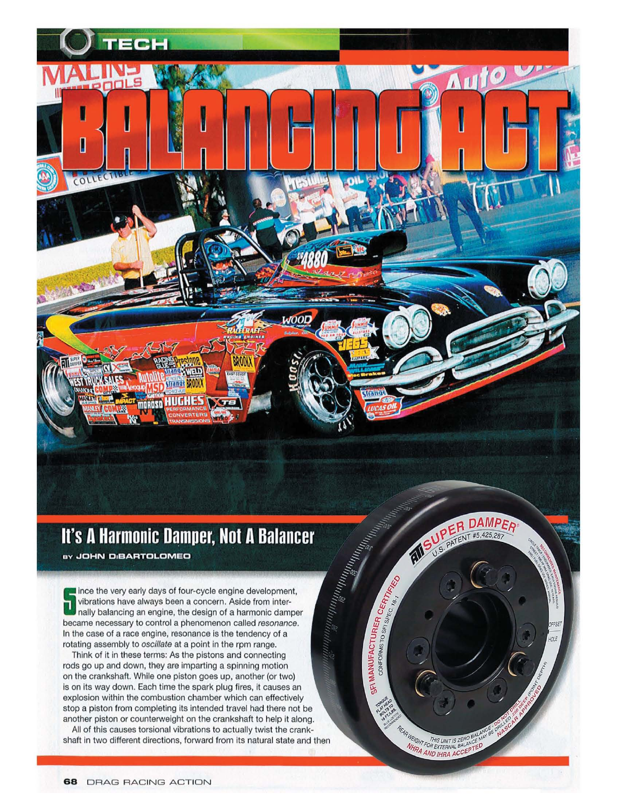

wa

**WOOD** 

**TIGENE** 

BY JOHN DIBARTOLOMEO

ECH

COLLECT

**Foll ince the very early days of four-cycle engine development,** vibrations have always been a concern. Aside from internally balancing an engine, the design of a harmonic damper became necessary to control a phenomenon called *resonance.*  In the case of a race engine, resonance is the tendency of a rotating assembly to oscillate at a point in the rpm range.

Think of it in these terms: As the pistons and connecting rods go up and down, they are imparting a spinning motion on the crankshaft. While one piston goes up, another (or two) is on its way down. Each time the spark plug fires, it causes an explosion within the combustion chamber which can effectively stop a piston from completing its intended travel had there not be another piston or counterweight on the crankshaft to help it along.

All of this causes torsional vibrations to actually twist the crankshaft in two different directions, forward from its natural state and then **REAR WEIGHT FOR EXTERNAL BALAN**<br>**AVAIR FOR EXTERNAL BALAN**<br>**AVAIRA AND IHRA ACCEP NHRA AND IHRA ACCEP** 

ST IMMUFACTURER CERTIRES

AISUPER DAMPER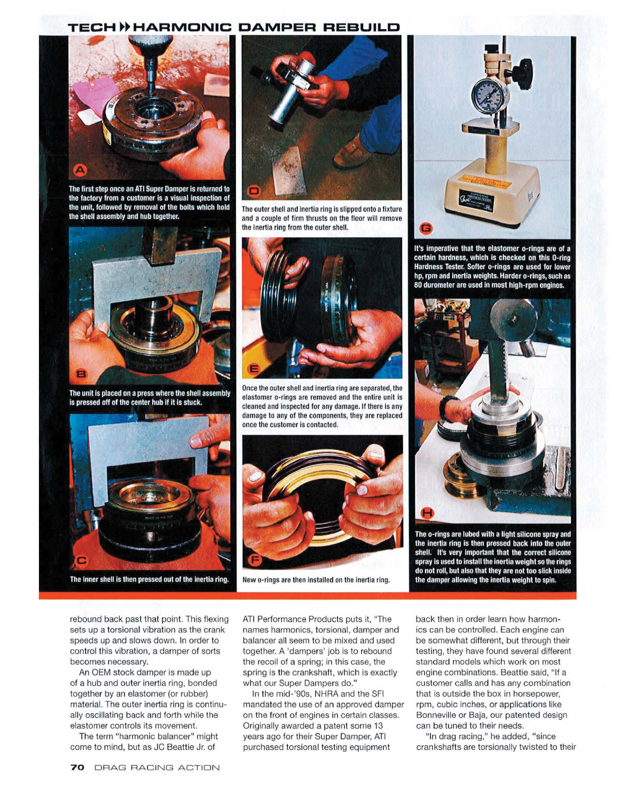## **TECH » HARMONIC DAMPER REBUILD**



The first step once an ATI Super Damper is returned to the factory from a customer is a visual inspection of the unit, followed by removal of the bolts which hold the shell assembly and hub together.



The outer shell and inertia ring is slipped onto a fixture and a couple of firm thrusts on the floor will remove the inertia ring from the outer shell.



The unit is placed on a press where the shell assembly is pressed off of the center hub if it is stuck.



Once the outer shell and inertia ring are separated, the elastomer o-rings are removed and the entire unit is cleaned and inspected for any damage. If there is any damage to any of the components, they are replaced once the customer is contacted.





New o-rings are then installed on the inertia ring.



It's imperative that the elastomer o-rings are of a certain hardness, which is checked on this O-ring Hardness Tester. Softer o-rings are used for lower hp, rpm and inertia weights. Harder o-rings, such as 80 durometer are used in most high-rpm engines.



The o-rings are lubed with a light silicone spray and the inertia ring is then pressed back into the outer shell. It's very important that the correct silicone spray is used to install the inertia weight so the rings do not roll, but also that they are not too slick inside the damper allowing the inertia weight to spin.

rebound back past that point. This flexing sets up a torsional vibration as the crank speeds up and slows down. In order to control this vibration, a damper of sorts becomes necessary.

An OEM stock damper is made up of a hub and outer inertia ring, bonded together by an elastomer (or rubber) material. The outer inertia ring is continually oscillating back and forth while the elastomer controls its movement.

The term "harmonic balancer" might come to mind, but as JC Beattie Jr. of

ATI Performance Products puts it, "The names harmonics, torsional, damper and balancer all seem to be mixed and used together. A 'dampers' job is to rebound the recoil of a spring; in this case, the spring is the crankshaft, which is exactly what our Super Dampers do."

In the mid-'90s, NHRA and the SFI mandated the use of an approved damper on the front of engines in certain classes. Originally awarded a patent some 13 years ago for their Super Damper, ATI purchased torsional testing equipment

back then in order learn how harmonics can be controlled. Each engine can be somewhat different, but through their testing, they have found several different standard models which work on most engine combinations. Beattie said, "If a customer calls and has any combination that is outside the box in horsepower, rpm, cubic inches, or applications like Bonneville or Baja, our patented design can be tuned to their needs.

"In drag racing," he added, "since crankshafts are torsionally twisted to their